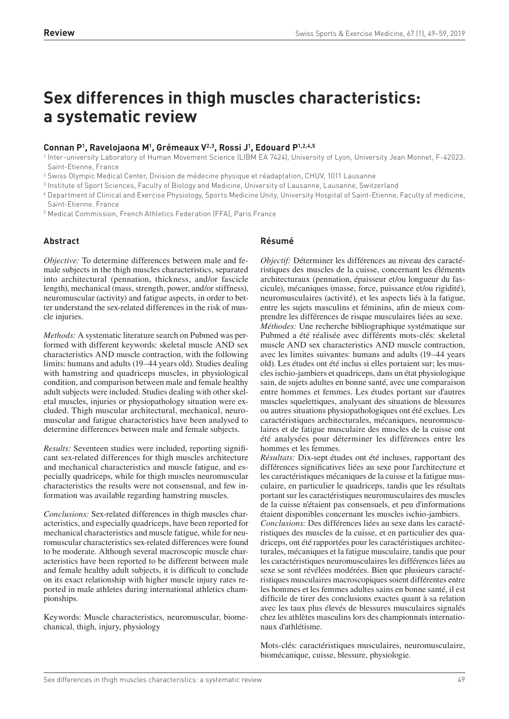# **Sex differences in thigh muscles characteristics: a systematic review**

# **Connan P<sup>1</sup> , Ravelojaona M<sup>1</sup> , Grémeaux V 2,3 , Rossi J 1 , Edouard P1,2,4,5**

1 Inter-university Laboratory of Human Movement Science (LIBM EA 7424), University of Lyon, University Jean Monnet, F-42023. Saint-Etienne, France

<sup>2</sup> Swiss Olympic Medical Center, Division de médecine physique et réadaptation, CHUV, 1011 Lausanne

3 Institute of Sport Sciences, Faculty of Biology and Medicine, University of Lausanne, Lausanne, Switzerland

<sup>4</sup> Department of Clinical and Exercise Physiology, Sports Medicine Unity, University Hospital of Saint-Etienne, Faculty of medicine, Saint-Etienne. France

<sup>5</sup> Medical Commission, French Athletics Federation (FFA), Paris France

## **Abstract**

*Objective:* To determine differences between male and female subjects in the thigh muscles characteristics, separated into architectural (pennation, thickness, and/or fascicle length), mechanical (mass, strength, power, and/or stiffness), neuromuscular (activity) and fatigue aspects, in order to better understand the sex-related differences in the risk of muscle injuries.

*Methods:* A systematic literature search on Pubmed was performed with different keywords: skeletal muscle AND sex characteristics AND muscle contraction, with the following limits: humans and adults (19–44 years old). Studies dealing with hamstring and quadriceps muscles, in physiological condition, and comparison between male and female healthy adult subjects were included. Studies dealing with other skeletal muscles, injuries or physiopathology situation were excluded. Thigh muscular architectural, mechanical, neuromuscular and fatigue characteristics have been analysed to determine differences between male and female subjects.

*Results:* Seventeen studies were included, reporting significant sex-related differences for thigh muscles architecture and mechanical characteristics and muscle fatigue, and especially quadriceps, while for thigh muscles neuromuscular characteristics the results were not consensual, and few information was available regarding hamstring muscles.

*Conclusions:* Sex-related differences in thigh muscles characteristics, and especially quadriceps, have been reported for mechanical characteristics and muscle fatigue, while for neuromuscular characteristics sex-related differences were found to be moderate. Although several macroscopic muscle characteristics have been reported to be different between male and female healthy adult subjects, it is difficult to conclude on its exact relationship with higher muscle injury rates reported in male athletes during international athletics championships.

Keywords: Muscle characteristics, neuromuscular, biomechanical, thigh, injury, physiology

## **Résumé**

*Objectif:* Déterminer les différences au niveau des caractéristiques des muscles de la cuisse, concernant les éléments architecturaux (pennation, épaisseur et/ou longueur du fascicule), mécaniques (masse, force, puissance et/ou rigidité), neuromusculaires (activité), et les aspects liés à la fatigue, entre les sujets masculins et féminins, afin de mieux comprendre les différences de risque musculaires liées au sexe. *Méthodes:* Une recherche bibliographique systématique sur Pubmed a été réalisée avec différents mots-clés: skeletal muscle AND sex characteristics AND muscle contraction, avec les limites suivantes: humans and adults (19–44 years old). Les études ont été inclus si elles portaient sur; les muscles ischio-jambiers et quadriceps, dans un état physiologique sain, de sujets adultes en bonne santé, avec une comparaison entre hommes et femmes. Les études portant sur d'autres muscles squelettiques, analysant des situations de blessures ou autres situations physiopathologiques ont été exclues. Les caractéristiques architecturales, mécaniques, neuromusculaires et de fatigue musculaire des muscles de la cuisse ont été analysées pour déterminer les différences entre les hommes et les femmes.

*Résultats:* Dix-sept études ont été incluses, rapportant des différences significatives liées au sexe pour l'architecture et les caractéristiques mécaniques de la cuisse et la fatigue musculaire, en particulier le quadriceps, tandis que les résultats portant sur les caractéristiques neuromusculaires des muscles de la cuisse n'étaient pas consensuels, et peu d'informations étaient disponibles concernant les muscles ischio-jambiers.

*Conclusions:* Des différences liées au sexe dans les caractéristiques des muscles de la cuisse, et en particulier des quadriceps, ont été rapportées pour les caractéristiques architecturales, mécaniques et la fatigue musculaire, tandis que pour les caractéristiques neuromusculaires les différences liées au sexe se sont révélées modérées. Bien que plusieurs caractéristiques musculaires macroscopiques soient différentes entre les hommes et les femmes adultes sains en bonne santé, il est difficile de tirer des conclusions exactes quant à sa relation avec les taux plus élevés de blessures musculaires signalés chez les athlètes masculins lors des championnats internationaux d'athlétisme.

Mots-clés: caractéristiques musculaires, neuromusculaire, biomécanique, cuisse, blessure, physiologie.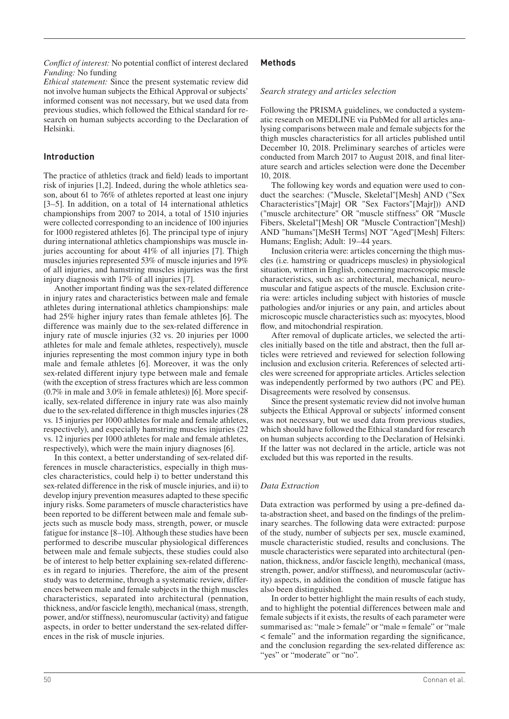*Conflict of interest:* No potential conflict of interest declared *Funding:* No funding

*Ethical statement:* Since the present systematic review did notinvolve human subjects the Ethical Approval or subjects' informed consent was not necessary, but we used data from previous studies, which followed the Ethical standard for research on human subjects according to the Declaration of Helsinki.

## **Introduction**

The practice of athletics (track and field) leads to important risk of injuries [1,2]. Indeed, during the whole athletics season, about 61 to 76% of athletes reported at least one injury [3–5]. In addition, on a total of 14 international athletics championships from 2007 to 2014, a total of 1510 injuries were collected corresponding to an incidence of 100 injuries for 1000 registered athletes [6]. The principal type of injury during international athletics championships was muscle injuries accounting for about 41% of all injuries [7]. Thigh muscles injuries represented 53% of muscle injuries and 19% of all injuries, and hamstring muscles injuries was the first injury diagnosis with 17% of all injuries [7].

Another important finding was the sex-related difference in injury rates and characteristics between male and female athletes during international athletics championships: male had 25% higher injury rates than female athletes [6]. The difference was mainly due to the sex-related difference in injury rate of muscle injuries (32 vs. 20 injuries per 1000 athletes for male and female athletes, respectively), muscle injuries representing the most common injury type in both male and female athletes [6]. Moreover, it was the only sex-related different injury type between male and female (with the exception of stress fractures which are less common (0.7% in male and 3.0% in female athletes)) [6]. More specifically, sex-related difference in injury rate was also mainly due to the sex-related difference in thigh muscles injuries (28 vs. 15 injuries per 1000 athletes for male and female athletes, respectively), and especially hamstring muscles injuries (22 vs. 12 injuries per 1000 athletes for male and female athletes, respectively), which were the main injury diagnoses [6].

In this context, a better understanding of sex-related differences in muscle characteristics, especially in thigh muscles characteristics, could help i) to better understand this sex-related difference in the risk of muscle injuries, and ii) to develop injury prevention measures adapted to these specific injury risks. Some parameters of muscle characteristics have been reported to be different between male and female subjects such as muscle body mass, strength, power, or muscle fatigue for instance [8–10]. Although these studies have been performed to describe muscular physiological differences between male and female subjects, these studies could also be of interest to help better explaining sex-related differences in regard to injuries. Therefore, the aim of the present study was to determine, through a systematic review, differences between male and female subjects in the thigh muscles characteristics, separated into architectural (pennation, thickness, and/or fascicle length), mechanical (mass, strength, power, and/or stiffness), neuromuscular (activity) and fatigue aspects, in order to better understand the sex-related differences in the risk of muscle injuries.

## **Methods**

## *Search strategy and articles selection*

Following the PRISMA guidelines, we conducted a systematic research on MEDLINE via PubMed for all articles analysing comparisons between male and female subjects for the thigh muscles characteristics for all articles published until December 10, 2018. Preliminary searches of articles were conducted from March 2017 to August 2018, and final literature search and articles selection were done the December 10, 2018.

The following key words and equation were used to conduct the searches: ("Muscle, Skeletal"[Mesh] AND ("Sex Characteristics"[Majr] OR "Sex Factors"[Majr])) AND ("muscle architecture" OR "muscle stiffness" OR "Muscle Fibers, Skeletal"[Mesh] OR "Muscle Contraction"[Mesh]) AND "humans"[MeSH Terms] NOT "Aged"[Mesh] Filters: Humans; English; Adult: 19–44 years.

Inclusion criteria were: articles concerning the thigh muscles (i.e. hamstring or quadriceps muscles) in physiological situation, written in English, concerning macroscopic muscle characteristics, such as: architectural, mechanical, neuromuscular and fatigue aspects of the muscle. Exclusion criteria were: articles including subject with histories of muscle pathologies and/or injuries or any pain, and articles about microscopic muscle characteristics such as: myocytes, blood flow, and mitochondrial respiration.

After removal of duplicate articles, we selected the articles initially based on the title and abstract, then the full articles were retrieved and reviewed for selection following inclusion and exclusion criteria. References of selected articles were screened for appropriate articles. Articles selection was independently performed by two authors (PC and PE). Disagreements were resolved by consensus.

Since the present systematic review did not involve human subjects the Ethical Approval or subjects' informed consent was not necessary, but we used data from previous studies, which should have followed the Ethical standard for research on human subjects according to the Declaration of Helsinki. If the latter was not declared in the article, article was not excluded but this was reported in the results.

## *Data Extraction*

Data extraction was performed by using a pre-defined data-abstraction sheet, and based on the findings of the preliminary searches. The following data were extracted: purpose of the study, number of subjects per sex, muscle examined, muscle characteristic studied, results and conclusions. The muscle characteristics were separated into architectural (pennation, thickness, and/or fascicle length), mechanical (mass, strength, power, and/or stiffness), and neuromuscular (activity) aspects, in addition the condition of muscle fatigue has also been distinguished.

In order to better highlight the main results of each study, and to highlight the potential differences between male and female subjects if it exists, the results of each parameter were summarised as: "male > female" or "male = female" or "male < female" and the information regarding the significance, and the conclusion regarding the sex-related difference as: "yes" or "moderate" or "no".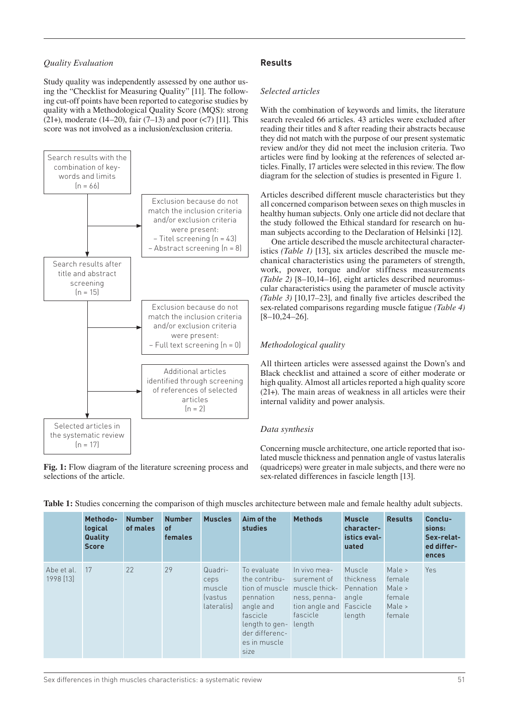## *Quality Evaluation*

Study quality was independently assessed by one author using the "Checklist for Measuring Quality" [11]. The following cut-off points have been reported to categorise studies by quality with a Methodological Quality Score (MQS): strong (21+), moderate (14–20), fair (7–13) and poor  $(<)$  [11]. This score was not involved as a inclusion/exclusion criteria.



**Fig. 1:** Flow diagram of the literature screening process and selections of the article.

# **Results**

#### *Selected articles*

With the combination of keywords and limits, the literature search revealed 66 articles. 43 articles were excluded after reading their titles and 8 after reading their abstracts because they did not match with the purpose of our present systematic review and/or they did not meet the inclusion criteria. Two articles were find by looking at the references of selected articles. Finally, 17 articles were selected in this review. The flow diagram for the selection of studies is presented in Figure 1.

Articles described different muscle characteristics but they all concerned comparison between sexes on thigh muscles in healthy human subjects. Only one article did not declare that the study followed the Ethical standard for research on human subjects according to the Declaration of Helsinki [12].

One article described the muscle architectural characteristics *(Table 1)* [13], six articles described the muscle mechanical characteristics using the parameters of strength, work, power, torque and/or stiffness measurements *(Table 2)* [8–10,14–16], eight articles described neuromuscular characteristics using the parameter of muscle activity *(Table 3)* [10,17–23], and finally five articles described the sex-related comparisons regarding muscle fatigue *(Table 4)* [8–10,24–26].

## *Methodological quality*

All thirteen articles were assessed against the Down's and Black checklist and attained a score of either moderate or high quality. Almost all articles reported a high quality score (21+). The main areas of weakness in all articles were their internal validity and power analysis.

#### *Data synthesis*

Concerning muscle architecture, one article reported that isolated muscle thickness and pennation angle of vastus lateralis (quadriceps) were greater in male subjects, and there were no sex-related differences in fascicle length [13].

|                         | Methodo-<br>logical<br>Quality<br><b>Score</b> | <b>Number</b><br>of males | <b>Number</b><br><b>of</b><br><b>females</b> | <b>Muscles</b>                                                   | Aim of the<br>studies                                                                                                          | <b>Methods</b>                                                                                                               | <b>Muscle</b><br>character-<br>istics eval-<br>uated | <b>Results</b>                                           | Conclu-<br>sions:<br>Sex-relat-<br>ed differ-<br>ences |
|-------------------------|------------------------------------------------|---------------------------|----------------------------------------------|------------------------------------------------------------------|--------------------------------------------------------------------------------------------------------------------------------|------------------------------------------------------------------------------------------------------------------------------|------------------------------------------------------|----------------------------------------------------------|--------------------------------------------------------|
| Abe et al.<br>1998 [13] | 17                                             | 22                        | 29                                           | Quadri-<br>ceps<br>muscle<br><i><u>fvastus</u></i><br>lateralis) | To evaluate<br>the contribu-<br>pennation<br>angle and<br>fascicle<br>length to gen-<br>der differenc-<br>es in muscle<br>size | In vivo mea-<br>surement of<br>tion of muscle muscle thick-<br>ness, penna-<br>tion angle and Fascicle<br>fascicle<br>length | Muscle<br>thickness<br>Pennation<br>angle<br>length  | Male ><br>female<br>Male ><br>female<br>Male ><br>female | <b>Yes</b>                                             |

**Table 1:** Studies concerning the comparison of thigh muscles architecture between male and female healthy adult subjects.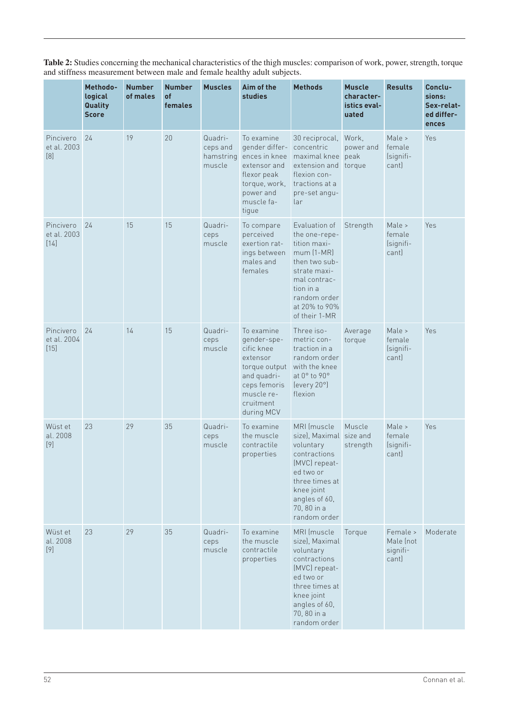|                                    | Methodo-<br>logical<br>Quality<br><b>Score</b> | <b>Number</b><br>of males | <b>Number</b><br>of<br>females | <b>Muscles</b>                             | Aim of the<br><b>studies</b>                                                                                                                 | <b>Methods</b>                                                                                                                                                                   | Muscle<br>character-<br>istics eval-<br>uated | <b>Results</b>                             | Conclu-<br>sions:<br>Sex-relat-<br>ed differ-<br>ences |
|------------------------------------|------------------------------------------------|---------------------------|--------------------------------|--------------------------------------------|----------------------------------------------------------------------------------------------------------------------------------------------|----------------------------------------------------------------------------------------------------------------------------------------------------------------------------------|-----------------------------------------------|--------------------------------------------|--------------------------------------------------------|
| Pincivero<br>et al. 2003<br>[8]    | 24                                             | 19                        | 20                             | Quadri-<br>ceps and<br>hamstring<br>muscle | To examine<br>gender differ-<br>ences in knee<br>extensor and<br>flexor peak<br>torque, work,<br>power and<br>muscle fa-<br>tigue            | 30 reciprocal,<br>concentric<br>maximal knee<br>extension and<br>flexion con-<br>tractions at a<br>pre-set angu-<br>lar                                                          | Work,<br>power and<br>peak<br>torque          | Male ><br>female<br>(signifi-<br>cant)     | Yes                                                    |
| Pincivero<br>et al. 2003<br>$[14]$ | 24                                             | 15                        | 15                             | Quadri-<br>ceps<br>muscle                  | To compare<br>perceived<br>exertion rat-<br>ings between<br>males and<br>females                                                             | Evaluation of<br>the one-repe-<br>tition maxi-<br>$mum$ $(1-MR)$<br>then two sub-<br>strate maxi-<br>mal contrac-<br>tion in a<br>random order<br>at 20% to 90%<br>of their 1-MR | Strength                                      | Male ><br>female<br>(signifi-<br>cant)     | Yes                                                    |
| Pincivero<br>et al. 2004<br>[15]   | 24                                             | 14                        | 15                             | Quadri-<br>ceps<br>muscle                  | To examine<br>gender-spe-<br>cific knee<br>extensor<br>torque output<br>and quadri-<br>ceps femoris<br>muscle re-<br>cruitment<br>during MCV | Three iso-<br>metric con-<br>traction in a<br>random order<br>with the knee<br>at 0° to 90°<br>(every 20°)<br>flexion                                                            | Average<br>torque                             | Male ><br>female<br>(signifi-<br>cant)     | Yes                                                    |
| Wüst et<br>al. 2008<br>$[9]$       | 23                                             | 29                        | 35                             | Quadri-<br>ceps<br>muscle                  | To examine<br>the muscle<br>contractile<br>properties                                                                                        | MRI (muscle<br>size), Maximal<br>voluntary<br>contractions<br>(MVC) repeat-<br>ed two or<br>three times at<br>knee joint<br>angles of 60,<br>70, 80 in a<br>random order         | Muscle<br>size and<br>strength                | Male ><br>female<br>(signifi-<br>cant)     | Yes                                                    |
| Wüst et<br>al. 2008<br>$[9]$       | 23                                             | 29                        | 35                             | Quadri-<br>ceps<br>muscle                  | To examine<br>the muscle<br>contractile<br>properties                                                                                        | MRI (muscle<br>size), Maximal<br>voluntary<br>contractions<br>(MVC) repeat-<br>ed two or<br>three times at<br>knee joint<br>angles of 60,<br>70, 80 in a<br>random order         | Torque                                        | Female ><br>Male (not<br>signifi-<br>cant) | Moderate                                               |

**Table 2:** Studies concerning the mechanical characteristics of the thigh muscles: comparison of work, power, strength, torque and stiffness measurement between male and female healthy adult subjects.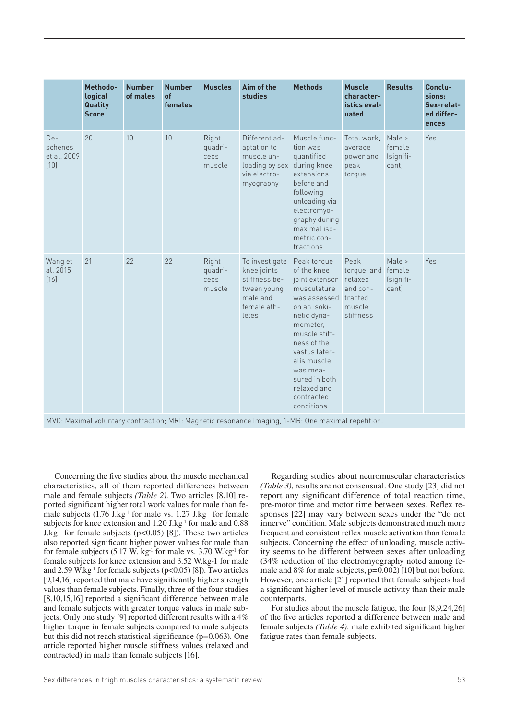|                                           | Methodo-<br>logical<br>Quality<br><b>Score</b> | <b>Number</b><br>of males | <b>Number</b><br>of<br>females | <b>Muscles</b>                     | Aim of the<br><b>studies</b>                                                                      | <b>Methods</b>                                                                                                                                                                                                                                                 | <b>Muscle</b><br>character-<br>istics eval-<br>uated                         | <b>Results</b>                         | Conclu-<br>sions:<br>Sex-relat-<br>ed differ-<br>ences |
|-------------------------------------------|------------------------------------------------|---------------------------|--------------------------------|------------------------------------|---------------------------------------------------------------------------------------------------|----------------------------------------------------------------------------------------------------------------------------------------------------------------------------------------------------------------------------------------------------------------|------------------------------------------------------------------------------|----------------------------------------|--------------------------------------------------------|
| $De-$<br>schenes<br>et al. 2009<br>$[10]$ | 20                                             | 10                        | 10                             | Right<br>quadri-<br>ceps<br>muscle | Different ad-<br>aptation to<br>muscle un-<br>loading by sex<br>via electro-<br>myography         | Muscle func-<br>tion was<br>quantified<br>during knee<br>extensions<br>before and<br>following<br>unloading via<br>electromyo-<br>graphy during<br>maximal iso-<br>metric con-<br>tractions                                                                    | Total work, Male ><br>average<br>power and<br>peak<br>torque                 | female<br>(signifi-<br>cant)           | Yes                                                    |
| Wang et<br>al. 2015<br>[16]               | 21                                             | 22                        | 22                             | Right<br>quadri-<br>ceps<br>muscle | To investigate<br>knee joints<br>stiffness be-<br>tween young<br>male and<br>female ath-<br>letes | Peak torque<br>of the knee<br>joint extensor<br>musculature<br>was assessed<br>on an isoki-<br>netic dyna-<br>mometer,<br>muscle stiff-<br>ness of the<br>vastus later-<br>alis muscle<br>was mea-<br>sured in both<br>relaxed and<br>contracted<br>conditions | Peak<br>torque, and<br>relaxed<br>and con-<br>tracted<br>muscle<br>stiffness | Male ><br>female<br>(signifi-<br>cant) | Yes                                                    |

MVC: Maximal voluntary contraction; MRI: Magnetic resonance Imaging, 1-MR: One maximal repetition.

Concerning the five studies about the muscle mechanical characteristics, all of them reported differences between male and female subjects *(Table 2)*. Two articles [8,10] reported significant higher total work values for male than female subjects  $(1.76 \text{ J} \cdot \text{kg}^{-1})$  for male vs.  $1.27 \text{ J} \cdot \text{kg}^{-1}$  for female subjects for knee extension and  $1.20$  J.kg<sup>-1</sup> for male and  $0.88$ J.kg<sup>-1</sup> for female subjects ( $p$ <0.05) [8]). These two articles also reported significant higher power values for male than for female subjects (5.17 W. kg<sup>-1</sup> for male vs. 3.70 W.kg<sup>-1</sup> for female subjects for knee extension and 3.52 W.kg-1 for male and  $2.59$  W.kg<sup>-1</sup> for female subjects ( $p<0.05$ ) [8]). Two articles [9,14,16] reported that male have significantly higher strength values than female subjects. Finally, three of the four studies [8,10,15,16] reported a significant difference between male and female subjects with greater torque values in male subjects. Only one study [9] reported different results with a 4% higher torque in female subjects compared to male subjects but this did not reach statistical significance (p=0.063). One article reported higher muscle stiffness values (relaxed and contracted) in male than female subjects [16].

Regarding studies about neuromuscular characteristics *(Table 3)*, results are not consensual. One study [23] did not report any significant difference of total reaction time, pre-motor time and motor time between sexes. Reflex responses [22] may vary between sexes under the "do not innerve" condition. Male subjects demonstrated much more frequent and consistent reflex muscle activation than female subjects. Concerning the effect of unloading, muscle activity seems to be different between sexes after unloading (34% reduction of the electromyography noted among female and 8% for male subjects, p=0.002) [10] but not before. However, one article [21] reported that female subjects had a significant higher level of muscle activity than their male counterparts.

For studies about the muscle fatigue, the four [8,9,24,26] of the five articles reported a difference between male and female subjects *(Table 4)*: male exhibited significant higher fatigue rates than female subjects.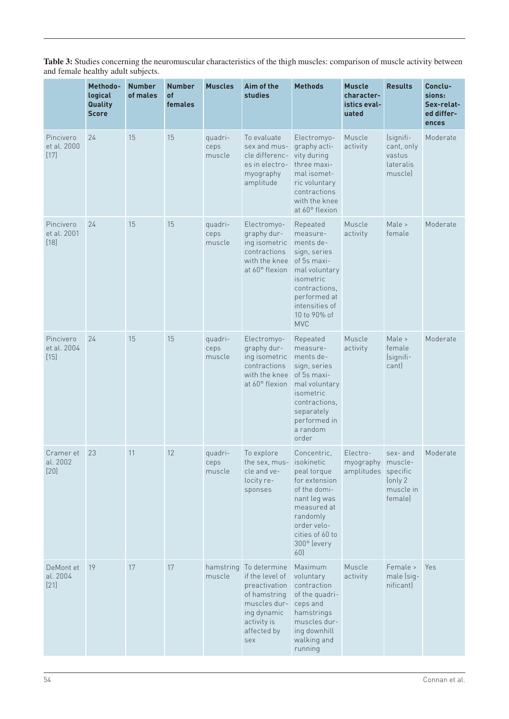**Table 3:** Studies concerning the neuromuscular characteristics of the thigh muscles: comparison of muscle activity between and female healthy adult subjects.

|                                    | Methodo-<br>logical<br>Quality<br><b>Score</b> | <b>Number</b><br>of males | <b>Number</b><br>of<br>females | <b>Muscles</b>            | Aim of the<br>studies                                                                                                                | <b>Methods</b>                                                                                                                                                                      | <b>Muscle</b><br>character-<br>istics eval-<br>uated | <b>Results</b>                                                   | Conclu-<br>sions:<br>Sex-relat-<br>ed differ-<br>ences |
|------------------------------------|------------------------------------------------|---------------------------|--------------------------------|---------------------------|--------------------------------------------------------------------------------------------------------------------------------------|-------------------------------------------------------------------------------------------------------------------------------------------------------------------------------------|------------------------------------------------------|------------------------------------------------------------------|--------------------------------------------------------|
| Pincivero<br>et al. 2000<br>$[17]$ | 24                                             | 15                        | 15                             | quadri-<br>ceps<br>muscle | To evaluate<br>sex and mus-<br>cle differenc-<br>es in electro-<br>myography<br>amplitude                                            | Electromyo-<br>graphy acti-<br>vity during<br>three maxi-<br>mal isomet-<br>ric voluntary<br>contractions<br>with the knee<br>at 60° flexion                                        | Muscle<br>activity                                   | (signifi-<br>cant, only<br>vastus<br><i>lateralis</i><br>muscle) | Moderate                                               |
| Pincivero<br>et al. 2001<br>$[18]$ | 24                                             | 15                        | 15                             | quadri-<br>ceps<br>muscle | Electromyo-<br>graphy dur-<br>ing isometric<br>contractions<br>with the knee<br>at 60° flexion                                       | Repeated<br>measure-<br>ments de-<br>sign, series<br>of 5s maxi-<br>mal voluntary<br>isometric<br>contractions,<br>performed at<br>intensities of<br>10 to 90% of<br><b>MVC</b>     | Muscle<br>activity                                   | Male ><br>female                                                 | Moderate                                               |
| Pincivero<br>et al. 2004<br>$[15]$ | 24                                             | 15                        | 15                             | quadri-<br>ceps<br>muscle | Electromyo-<br>graphy dur-<br>ing isometric<br>contractions<br>with the knee<br>at 60° flexion                                       | Repeated<br>measure-<br>ments de-<br>sign, series<br>of 5s maxi-<br>mal voluntary<br>isometric<br>contractions,<br>separately<br>performed in<br>a random<br>order                  | Muscle<br>activity                                   | Male ><br>female<br>(signifi-<br>cant)                           | Moderate                                               |
| Cramer et<br>al. 2002<br>$[20]$    | 23                                             | 11                        | 12                             | quadri-<br>ceps<br>muscle | To explore<br>the sex, mus-<br>cle and ve-<br>locity re-<br>sponses                                                                  | Concentric,<br><b>isokinetic</b><br>peal torque<br>for extension<br>of the domi-<br>nant leg was<br>measured at<br>randomly<br>order velo-<br>cities of 60 to<br>300° (every<br>60) | Electro-<br>myography muscle-<br>amplitudes specific | sex- and<br>(only 2<br>muscle in<br>female)                      | Moderate                                               |
| DeMont et<br>al. 2004<br>$[21]$    | 19                                             | 17                        | 17                             | hamstring<br>muscle       | To determine<br>if the level of<br>preactivation<br>of hamstring<br>muscles dur-<br>ing dynamic<br>activity is<br>affected by<br>sex | Maximum<br>voluntary<br>contraction<br>of the quadri-<br>ceps and<br>hamstrings<br>muscles dur-<br>ing downhill<br>walking and<br>running                                           | Muscle<br>activity                                   | Female ><br>male (sig-<br>nificant)                              | Yes                                                    |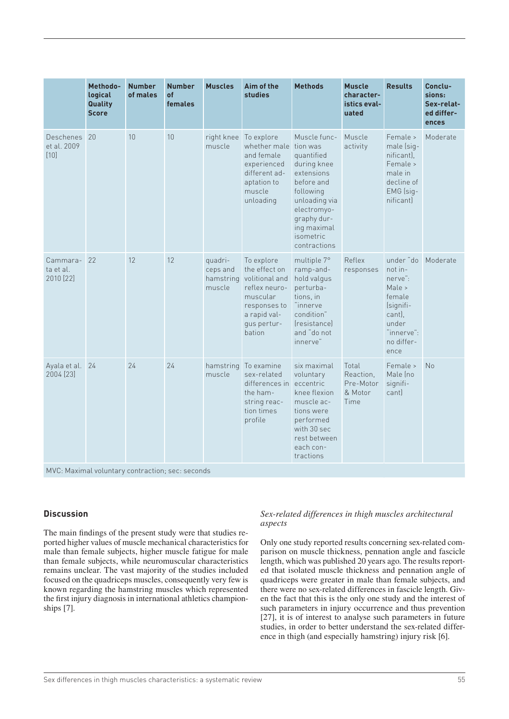|                                    | Methodo-<br>logical<br>Quality<br><b>Score</b> | <b>Number</b><br>of males | <b>Number</b><br>of<br>females | <b>Muscles</b>                             | Aim of the<br><b>studies</b>                                                                                                        | <b>Methods</b>                                                                                                                                                                            | <b>Muscle</b><br>character-<br>istics eval-<br>uated | <b>Results</b>                                                                                                          | Conclu-<br>sions:<br>Sex-relat-<br>ed differ-<br>ences |
|------------------------------------|------------------------------------------------|---------------------------|--------------------------------|--------------------------------------------|-------------------------------------------------------------------------------------------------------------------------------------|-------------------------------------------------------------------------------------------------------------------------------------------------------------------------------------------|------------------------------------------------------|-------------------------------------------------------------------------------------------------------------------------|--------------------------------------------------------|
| Deschenes<br>et al. 2009<br>[10]   | 20                                             | 10                        | 10                             | right knee<br>muscle                       | To explore<br>whether male<br>and female<br>experienced<br>different ad-<br>aptation to<br>muscle<br>unloading                      | Muscle func-<br>tion was<br>quantified<br>during knee<br>extensions<br>before and<br>following<br>unloading via<br>electromyo-<br>graphy dur-<br>ing maximal<br>isometric<br>contractions | Muscle<br>activity                                   | Female ><br>male (sig-<br>nificant),<br>Female ><br>male in<br>decline of<br>EMG (sig-<br>nificant                      | Moderate                                               |
| Cammara-<br>ta et al.<br>2010 [22] | 22                                             | 12                        | 12                             | quadri-<br>ceps and<br>hamstring<br>muscle | To explore<br>the effect on<br>volitional and<br>reflex neuro-<br>muscular<br>responses to<br>a rapid val-<br>qus pertur-<br>bation | multiple 7°<br>ramp-and-<br>hold valgus<br>perturba-<br>tions, in<br>"innerve<br>condition"<br><i><u><b>Sensistance</b></u></i><br>and "do not<br>innerve"                                | Reflex<br>responses                                  | under "do<br>not in-<br>nerve":<br>Male ><br>female<br>(signifi-<br>cant).<br>under<br>"innerve":<br>no differ-<br>ence | Moderate                                               |
| Ayala et al. 24<br>2004 [23]       |                                                | 24                        | 24                             | hamstring<br>muscle                        | To examine<br>sex-related<br>differences in<br>the ham-<br>string reac-<br>tion times<br>profile                                    | six maximal<br>voluntary<br>eccentric<br>knee flexion<br>muscle ac-<br>tions were<br>performed<br>with 30 sec<br>rest between<br>each con-<br>tractions                                   | Total<br>Reaction,<br>Pre-Motor<br>& Motor<br>Time   | Female ><br>Male (no<br>signifi-<br>cant)                                                                               | <b>No</b>                                              |

## **Discussion**

The main findings of the present study were that studies reported higher values of muscle mechanical characteristics for male than female subjects, higher muscle fatigue for male than female subjects, while neuromuscular characteristics remains unclear. The vast majority of the studies included focused on the quadriceps muscles, consequently very few is known regarding the hamstring muscles which represented the first injury diagnosis in international athletics championships [7].

## *Sex-related differences in thigh muscles architectural aspects*

Only one study reported results concerning sex-related comparison on muscle thickness, pennation angle and fascicle length, which was published 20 years ago. The results reported that isolated muscle thickness and pennation angle of quadriceps were greater in male than female subjects, and there were no sex-related differences in fascicle length. Given the fact that this is the only one study and the interest of such parameters in injury occurrence and thus prevention [27], it is of interest to analyse such parameters in future studies, in order to better understand the sex-related difference in thigh (and especially hamstring) injury risk [6].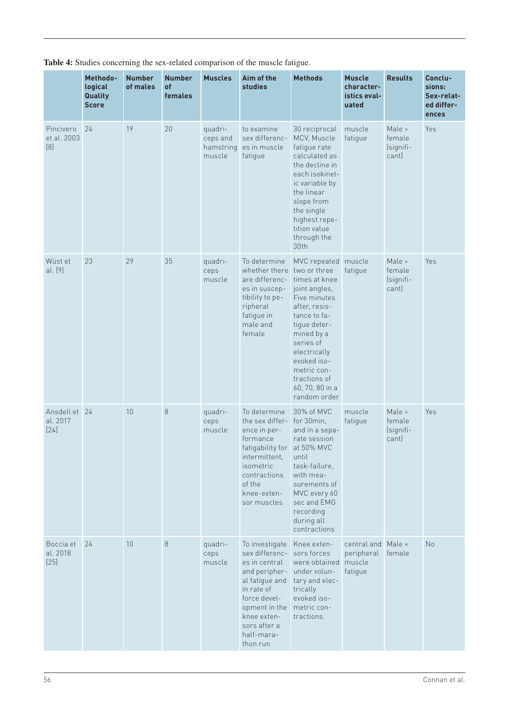|                                   | Methodo-<br>logical<br>Quality<br><b>Score</b> | <b>Number</b><br>of males | <b>Number</b><br>of<br>females | <b>Muscles</b>                             | Aim of the<br>studies                                                                                                                                                                        | <b>Methods</b>                                                                                                                                                                                                                                                     | <b>Muscle</b><br>character-<br>istics eval-<br>uated  | <b>Results</b>                         | Conclu-<br>sions:<br>Sex-relat-<br>ed differ-<br>ences |
|-----------------------------------|------------------------------------------------|---------------------------|--------------------------------|--------------------------------------------|----------------------------------------------------------------------------------------------------------------------------------------------------------------------------------------------|--------------------------------------------------------------------------------------------------------------------------------------------------------------------------------------------------------------------------------------------------------------------|-------------------------------------------------------|----------------------------------------|--------------------------------------------------------|
| Pincivero<br>et al. 2003<br>$[8]$ | 24                                             | 19                        | 20                             | quadri-<br>ceps and<br>hamstring<br>muscle | to examine<br>sex differenc-<br>es in muscle<br>fatigue                                                                                                                                      | 30 reciprocal<br>MCV, Muscle<br>fatigue rate<br>calculated as<br>the decline in<br>each isokinet-<br>ic variable by<br>the linear<br>slope from<br>the single<br>highest repe-<br>tition value<br>through the<br>30th                                              | muscle<br>fatigue                                     | Male ><br>female<br>(signifi-<br>cant) | Yes                                                    |
| Wüst et<br>al. [9]                | 23                                             | 29                        | 35                             | quadri-<br>ceps<br>muscle                  | To determine<br>whether there<br>are differenc-<br>es in suscep-<br>tibility to pe-<br>ripheral<br>fatigue in<br>male and<br>female                                                          | MVC repeated muscle<br>two or three<br>times at knee<br>joint angles,<br>Five minutes<br>after, resis-<br>tance to fa-<br>tigue deter-<br>mined by a<br>series of<br>electrically<br>evoked iso-<br>metric con-<br>tractions of<br>60, 70, 80 in a<br>random order | fatigue                                               | Male ><br>female<br>(signifi-<br>cant) | Yes                                                    |
| Ansdell et<br>al. 2017<br>$[24]$  | 24                                             | 10                        | 8                              | quadri-<br>ceps<br>muscle                  | To determine<br>the sex differ-<br>ence in per-<br>formance<br>fatigability for<br>intermittent,<br>isometric<br>contractions<br>of the<br>knee-exten-<br>sor muscles                        | 30% of MVC<br>for 30min,<br>and in a sepa-<br>rate session<br>at 50% MVC<br>until<br>task-failure,<br>with mea-<br>surements of<br>MVC every 60<br>sec and EMG<br>recording<br>during all<br>contractions                                                          | muscle<br>fatigue                                     | Male ><br>female<br>(signifi-<br>cant) | Yes                                                    |
| Boccia et<br>al. 2018<br>$[25]$   | 24                                             | 10                        | 8                              | quadri-<br>ceps<br>muscle                  | To investigate<br>sex differenc-<br>es in central<br>and peripher-<br>al fatigue and<br>in rate of<br>force devel-<br>opment in the<br>knee exten-<br>sors after a<br>half-mara-<br>thon run | Knee exten-<br>sors forces<br>were obtained<br>under volun-<br>tary and elec-<br>trically<br>evoked iso-<br>metric con-<br>tractions.                                                                                                                              | central and Male =<br>peripheral<br>muscle<br>fatigue | female                                 | No                                                     |

**Table 4:** Studies concerning the sex-related comparison of the muscle fatigue.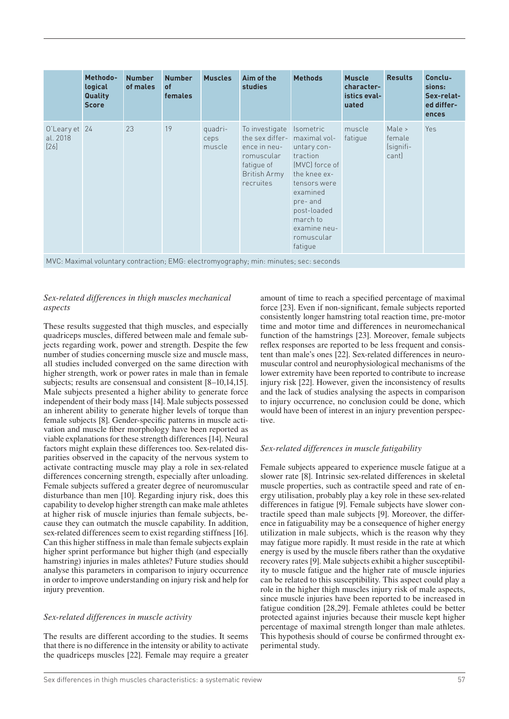|                                     | Methodo-<br>logical<br>Quality<br><b>Score</b> | <b>Number</b><br>of males | <b>Number</b><br><b>of</b><br>females | <b>Muscles</b>            | Aim of the<br><b>studies</b>                                                                                            | <b>Methods</b>                                                                                                                                                                           | <b>Muscle</b><br>character-<br>istics eval-<br>uated | <b>Results</b>                         | Conclu-<br>sions:<br>Sex-relat-<br>ed differ-<br>ences |
|-------------------------------------|------------------------------------------------|---------------------------|---------------------------------------|---------------------------|-------------------------------------------------------------------------------------------------------------------------|------------------------------------------------------------------------------------------------------------------------------------------------------------------------------------------|------------------------------------------------------|----------------------------------------|--------------------------------------------------------|
| O'Leary et 24<br>al. 2018<br>$[26]$ |                                                | 23                        | 19                                    | quadri-<br>ceps<br>muscle | To investigate<br>the sex differ- maximal vol-<br>ence in neu-<br>romuscular<br>fatique of<br>British Army<br>recruites | <b>Isometric</b><br>untary con-<br>traction<br>(MVC) force of<br>the knee ex-<br>tensors were<br>examined<br>pre-and<br>post-loaded<br>march to<br>examine neu-<br>romuscular<br>fatique | muscle<br>fatique                                    | Male ><br>female<br>(signifi-<br>cant) | Yes.                                                   |
|                                     |                                                |                           |                                       |                           |                                                                                                                         | MVC: Maximal voluntary contraction; EMG: electromyography; min: minutes; sec: seconds                                                                                                    |                                                      |                                        |                                                        |

## *Sex-related differences in thigh muscles mechanical aspects*

These results suggested that thigh muscles, and especially quadriceps muscles, differed between male and female subjects regarding work, power and strength. Despite the few number of studies concerning muscle size and muscle mass, all studies included converged on the same direction with higher strength, work or power rates in male than in female subjects; results are consensual and consistent [8–10,14,15]. Male subjects presented a higher ability to generate force independent of their body mass [14]. Male subjects possessed an inherent ability to generate higher levels of torque than female subjects [8]. Gender-specific patterns in muscle activation and muscle fiber morphology have been reported as viable explanations for these strength differences [14]. Neural factors might explain these differences too. Sex-related disparities observed in the capacity of the nervous system to activate contracting muscle may play a role in sex-related differences concerning strength, especially after unloading. Female subjects suffered a greater degree of neuromuscular disturbance than men [10]. Regarding injury risk, does this capability to develop higher strength can make male athletes at higher risk of muscle injuries than female subjects, because they can outmatch the muscle capability. In addition, sex-related differences seem to exist regarding stiffness [16]. Can this higher stiffness in male than female subjects explain higher sprint performance but higher thigh (and especially hamstring) injuries in males athletes? Future studies should analyse this parameters in comparison to injury occurrence in order to improve understanding on injury risk and help for injury prevention.

## *Sex-related differences in muscle activity*

The results are different according to the studies. It seems that there is no difference in the intensity or ability to activate the quadriceps muscles [22]. Female may require a greater amount of time to reach a specified percentage of maximal force [23]. Even if non-significant, female subjects reported consistently longer hamstring total reaction time, pre-motor time and motor time and differences in neuromechanical function of the hamstrings [23]. Moreover, female subjects reflex responses are reported to be less frequent and consistent than male's ones [22]. Sex-related differences in neuromuscular control and neurophysiological mechanisms of the lower extremity have been reported to contribute to increase injury risk [22]. However, given the inconsistency of results and the lack of studies analysing the aspects in comparison to injury occurrence, no conclusion could be done, which would have been of interest in an injury prevention perspective.

#### *Sex-related differences in muscle fatigability*

Female subjects appeared to experience muscle fatigue at a slower rate [8]. Intrinsic sex-related differences in skeletal muscle properties, such as contractile speed and rate of energy utilisation, probably play a key role in these sex-related differences in fatigue [9]. Female subjects have slower contractile speed than male subjects [9]. Moreover, the difference in fatiguability may be a consequence of higher energy utilization in male subjects, which is the reason why they may fatigue more rapidly. It must reside in the rate at which energy is used by the muscle fibers rather than the oxydative recovery rates [9]. Male subjects exhibit a higher susceptibility to muscle fatigue and the higher rate of muscle injuries can be related to this susceptibility. This aspect could play a role in the higher thigh muscles injury risk of male aspects, since muscle injuries have been reported to be increased in fatigue condition [28,29]. Female athletes could be better protected against injuries because their muscle kept higher percentage of maximal strength longer than male athletes. This hypothesis should of course be confirmed throught experimental study.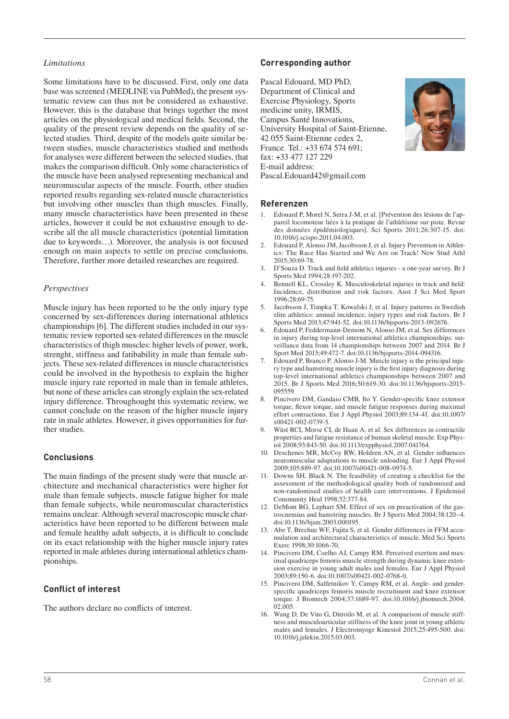#### *Limitations*

Some limitations have to be discussed. First, only one data base was screened (MEDLINE via PubMed), the present systematic review can thus not be considered as exhaustive. However, this is the database that brings together the most articles on the physiological and medical fields. Second, the quality of the present review depends on the quality of selected studies. Third, despite of the models quite similar between studies, muscle characteristics studied and methods for analyses were different between the selected studies, that makes the comparison difficult. Only some characteristics of the muscle have been analysed representing mechanical and neuromuscular aspects of the muscle. Fourth, other studies reported results regarding sex-related muscle characteristics but involving other muscles than thigh muscles. Finally, many muscle characteristics have been presented in these articles, however it could be not exhaustive enough to describe all the all muscle characteristics (potential limitation due to keywords…). Moreover, the analysis is not focused enough on main aspects to settle on precise conclusions. Therefore, further more detailed researches are required.

#### *Perspectives*

Muscle injury has been reported to be the only injury type concerned by sex-differences during international athletics championships [6]. The different studies included in our systematic review reported sex-related differences in the muscle characteristics of thigh muscles: higher levels of power, work, strenght, stiffness and fatibability in male than female subjects. These sex-related differences in muscle characteristics could be involved in the hypothesis to explain the higher muscle injury rate reported in male than in female athletes, but none of these articles can strongly explain the sex-related injury difference. Throughought this systematic review, we cannot conclude on the reason of the higher muscle injury rate in male athletes. However, it gives opportunities for further studies.

#### **Conclusions**

The main findings of the present study were that muscle architecture and mechanical characteristics were higher for male than female subjects, muscle fatigue higher for male than female subjects, while neuromuscular characteristics remains unclear. Although several macroscopic muscle characteristics have been reported to be different between male and female healthy adult subjects, it is difficult to conclude on its exact relationship with the higher muscle injury rates reported in male athletes during international athletics championships.

#### **Conflict of interest**

The authors declare no conflicts of interest.

## **Corresponding author**

Pascal Edouard, MD PhD, Department of Clinical and Exercise Physiology, Sports medicine unity, IRMIS, Campus Santé Innovations, University Hospital of Saint-Etienne, 42 055 Saint-Etienne cedex 2, France. Tel.: +33 674 574 691; fax: +33 477 127 229 E-mail address: Pascal.Edouard42@gmail.com



#### **Referenzen**

- 1. Edouard P, Morel N, Serra J-M, et al. [Prévention des lésions de l'appareil locomoteur liées à la pratique de l'athlétisme sur piste. Revue des données épidémiologiques]. Sci Sports 2011;26:307-15. doi: 10.1016/j.scispo.2011.04.003.
- 2. Edouard P, Alonso JM, Jacobsson J, et al. Injury Prevention in Athletics: The Race Has Started and We Are on Track! New Stud Athl 2015;30:69-78.
- 3. D'Souza D. Track and field athletics injuries a one-year survey. Br J Sports Med 1994;28:197-202.
- 4. Bennell KL, Crossley K. Musculoskeletal injuries in track and field: Incidence, distribution and risk factors. Aust J Sci Med Sport 1996;28:69-75.
- 5. Jacobsson J, Timpka T, Kowalski J, et al. Injury patterns in Swedish elite athletics: annual incidence, injury types and risk factors. Br J Sports Med 2013;47:941-52. doi:10.1136/bjsports-2013-092676.
- 6. Edouard P, Feddermann-Demont N, Alonso JM, et al. Sex differences in injury during top-level international athletics championships: surveillance data from 14 championships between 2007 and 2014. Br J Sport Med 2015;49:472-7. doi:10.1136/bjsports-2014-094316.
- 7. Edouard P, Branco P, Alonso J-M. Muscle injury is the principal injury type and hamstring muscle injury is the first injury diagnosis during top-level international athletics championships between 2007 and 2015. Br J Sports Med 2016;50:619-30. doi:10.1136/bjsports-2015- 095559.
- 8. Pincivero DM, Gandaio CMB, Ito Y. Gender-specific knee extensor torque, flexor torque, and muscle fatigue responses during maximal effort contractions. Eur J Appl Physiol 2003;89:134-41. doi:10.1007/ s00421-002-0739-5.
- 9. Wüst RCI, Morse CI, de Haan A, et al. Sex differences in contractile properties and fatigue resistance of human skeletal muscle. Exp Physiol 2008;93:843-50. doi:10.1113/expphysiol.2007.041764.
- 10. Deschenes MR, McCoy RW, Holdren AN, et al. Gender influences neuromuscular adaptations to muscle unloading. Eur J Appl Physiol 2009;105:889-97. doi:10.1007/s00421-008-0974-5.
- 11. Downs SH, Black N. The feasibility of creating a checklist for the assessment of the methodological quality both of randomised and non-randomised studies of health care interventions. J Epidemiol Community Heal 1998;52:377-84.
- 12. DeMont RG, Lephart SM. Effect of sex on preactivation of the gastrocnemius and hamstring muscles. Br J Sports Med 2004;38:120–4. doi:10.1136/bjsm.2003.000195.
- 13. Abe T, Brechue WF, Fujita S, et al. Gender differences in FFM accumulation and architectural characteristics of muscle. Med Sci Sports Exerc 1998;30:1066-70.
- 14. Pincivero DM, Coelho AJ, Campy RM. Perceived exertion and maximal quadriceps femoris muscle strength during dynamic knee extension exercise in young adult males and females. Eur J Appl Physiol 2003;89:150-6. doi:10.1007/s00421-002-0768-0.
- 15. Pincivero DM, Salfetnikov Y, Campy RM, et al. Angle- and genderspecific quadriceps femoris muscle recruitment and knee extensor torque. J Biomech 2004;37:1689-97. doi:10.1016/j.jbiomech.2004. 02.005.
- 16. Wang D, De Vito G, Ditroilo M, et al. A comparison of muscle stiffness and musculoarticular stiffness of the knee joint in young athletic males and females. J Electromyogr Kinesiol 2015;25:495-500. doi: 10.1016/j.jelekin.2015.03.003.